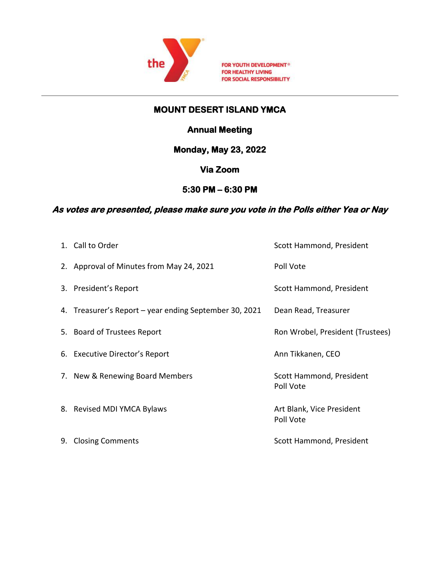

FOR YOUTH DEVELOPMENT<sup>®</sup> FOR HEALTHY LIVING FOR SOCIAL RESPONSIBILITY

## **MOUNT DESERT ISLAND YMCA**

# **Annual Meeting**

**Monday, May 23, 2022** 

# **Via Zoom**

## **5:30 PM – 6:30 PM**

#### **As votes are presented, please make sure you vote in the Polls either Yea or Nay**

| 1. Call to Order                                       | Scott Hammond, President               |
|--------------------------------------------------------|----------------------------------------|
| 2. Approval of Minutes from May 24, 2021               | Poll Vote                              |
| 3. President's Report                                  | Scott Hammond, President               |
| 4. Treasurer's Report – year ending September 30, 2021 | Dean Read, Treasurer                   |
| 5. Board of Trustees Report                            | Ron Wrobel, President (Trustees)       |
| 6. Executive Director's Report                         | Ann Tikkanen, CEO                      |
| 7. New & Renewing Board Members                        | Scott Hammond, President<br>Poll Vote  |
| 8. Revised MDI YMCA Bylaws                             | Art Blank, Vice President<br>Poll Vote |
| 9. Closing Comments                                    | Scott Hammond, President               |